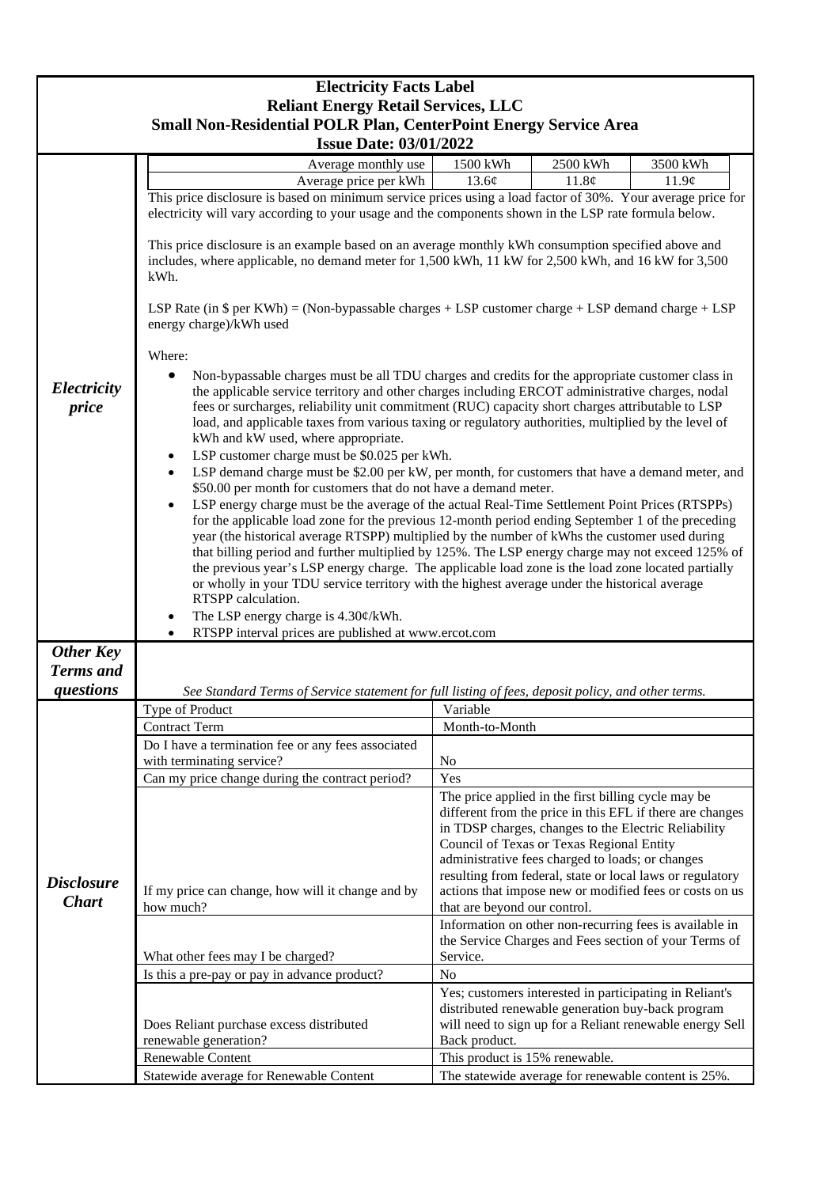| <b>Electricity Facts Label</b>                                                                           |                                                                                                                                                                                                                                                                                                                                                                                                                                                                                                                                                                                                                                                                                                                                                                                                                                                                                                                                                                                                                                                                                                                                                                                                                                                                                                                                                                                                                                                                                                                                                                                                                                                                                                                                                                                                                                                                                                                                                   |                                                                                                                                                                                                                                                                                                                                                                                                                                   |                                                                                                                                                                          |          |  |
|----------------------------------------------------------------------------------------------------------|---------------------------------------------------------------------------------------------------------------------------------------------------------------------------------------------------------------------------------------------------------------------------------------------------------------------------------------------------------------------------------------------------------------------------------------------------------------------------------------------------------------------------------------------------------------------------------------------------------------------------------------------------------------------------------------------------------------------------------------------------------------------------------------------------------------------------------------------------------------------------------------------------------------------------------------------------------------------------------------------------------------------------------------------------------------------------------------------------------------------------------------------------------------------------------------------------------------------------------------------------------------------------------------------------------------------------------------------------------------------------------------------------------------------------------------------------------------------------------------------------------------------------------------------------------------------------------------------------------------------------------------------------------------------------------------------------------------------------------------------------------------------------------------------------------------------------------------------------------------------------------------------------------------------------------------------------|-----------------------------------------------------------------------------------------------------------------------------------------------------------------------------------------------------------------------------------------------------------------------------------------------------------------------------------------------------------------------------------------------------------------------------------|--------------------------------------------------------------------------------------------------------------------------------------------------------------------------|----------|--|
| <b>Reliant Energy Retail Services, LLC</b>                                                               |                                                                                                                                                                                                                                                                                                                                                                                                                                                                                                                                                                                                                                                                                                                                                                                                                                                                                                                                                                                                                                                                                                                                                                                                                                                                                                                                                                                                                                                                                                                                                                                                                                                                                                                                                                                                                                                                                                                                                   |                                                                                                                                                                                                                                                                                                                                                                                                                                   |                                                                                                                                                                          |          |  |
| <b>Small Non-Residential POLR Plan, CenterPoint Energy Service Area</b><br><b>Issue Date: 03/01/2022</b> |                                                                                                                                                                                                                                                                                                                                                                                                                                                                                                                                                                                                                                                                                                                                                                                                                                                                                                                                                                                                                                                                                                                                                                                                                                                                                                                                                                                                                                                                                                                                                                                                                                                                                                                                                                                                                                                                                                                                                   |                                                                                                                                                                                                                                                                                                                                                                                                                                   |                                                                                                                                                                          |          |  |
|                                                                                                          | Average monthly use                                                                                                                                                                                                                                                                                                                                                                                                                                                                                                                                                                                                                                                                                                                                                                                                                                                                                                                                                                                                                                                                                                                                                                                                                                                                                                                                                                                                                                                                                                                                                                                                                                                                                                                                                                                                                                                                                                                               | 1500 kWh                                                                                                                                                                                                                                                                                                                                                                                                                          | 2500 kWh                                                                                                                                                                 | 3500 kWh |  |
|                                                                                                          | Average price per kWh                                                                                                                                                                                                                                                                                                                                                                                                                                                                                                                                                                                                                                                                                                                                                                                                                                                                                                                                                                                                                                                                                                                                                                                                                                                                                                                                                                                                                                                                                                                                                                                                                                                                                                                                                                                                                                                                                                                             | 13.6¢                                                                                                                                                                                                                                                                                                                                                                                                                             | 11.8¢                                                                                                                                                                    | 11.9¢    |  |
| Electricity<br>price                                                                                     | This price disclosure is based on minimum service prices using a load factor of 30%. Your average price for<br>electricity will vary according to your usage and the components shown in the LSP rate formula below.<br>This price disclosure is an example based on an average monthly kWh consumption specified above and<br>includes, where applicable, no demand meter for 1,500 kWh, 11 kW for 2,500 kWh, and 16 kW for 3,500<br>kWh.<br>LSP Rate (in $\$$ per KWh) = (Non-bypassable charges + LSP customer charge + LSP demand charge + LSP<br>energy charge)/kWh used<br>Where:<br>Non-bypassable charges must be all TDU charges and credits for the appropriate customer class in<br>the applicable service territory and other charges including ERCOT administrative charges, nodal<br>fees or surcharges, reliability unit commitment (RUC) capacity short charges attributable to LSP<br>load, and applicable taxes from various taxing or regulatory authorities, multiplied by the level of<br>kWh and kW used, where appropriate.<br>LSP customer charge must be \$0.025 per kWh.<br>٠<br>LSP demand charge must be \$2.00 per kW, per month, for customers that have a demand meter, and<br>$\bullet$<br>\$50.00 per month for customers that do not have a demand meter.<br>LSP energy charge must be the average of the actual Real-Time Settlement Point Prices (RTSPPs)<br>$\bullet$<br>for the applicable load zone for the previous 12-month period ending September 1 of the preceding<br>year (the historical average RTSPP) multiplied by the number of kWhs the customer used during<br>that billing period and further multiplied by 125%. The LSP energy charge may not exceed 125% of<br>the previous year's LSP energy charge. The applicable load zone is the load zone located partially<br>or wholly in your TDU service territory with the highest average under the historical average<br>RTSPP calculation. |                                                                                                                                                                                                                                                                                                                                                                                                                                   |                                                                                                                                                                          |          |  |
|                                                                                                          | The LSP energy charge is 4.30¢/kWh.<br>٠<br>RTSPP interval prices are published at www.ercot.com                                                                                                                                                                                                                                                                                                                                                                                                                                                                                                                                                                                                                                                                                                                                                                                                                                                                                                                                                                                                                                                                                                                                                                                                                                                                                                                                                                                                                                                                                                                                                                                                                                                                                                                                                                                                                                                  |                                                                                                                                                                                                                                                                                                                                                                                                                                   |                                                                                                                                                                          |          |  |
| <b>Other Key</b>                                                                                         |                                                                                                                                                                                                                                                                                                                                                                                                                                                                                                                                                                                                                                                                                                                                                                                                                                                                                                                                                                                                                                                                                                                                                                                                                                                                                                                                                                                                                                                                                                                                                                                                                                                                                                                                                                                                                                                                                                                                                   |                                                                                                                                                                                                                                                                                                                                                                                                                                   |                                                                                                                                                                          |          |  |
| <b>Terms</b> and                                                                                         |                                                                                                                                                                                                                                                                                                                                                                                                                                                                                                                                                                                                                                                                                                                                                                                                                                                                                                                                                                                                                                                                                                                                                                                                                                                                                                                                                                                                                                                                                                                                                                                                                                                                                                                                                                                                                                                                                                                                                   |                                                                                                                                                                                                                                                                                                                                                                                                                                   |                                                                                                                                                                          |          |  |
| questions                                                                                                | See Standard Terms of Service statement for full listing of fees, deposit policy, and other terms.                                                                                                                                                                                                                                                                                                                                                                                                                                                                                                                                                                                                                                                                                                                                                                                                                                                                                                                                                                                                                                                                                                                                                                                                                                                                                                                                                                                                                                                                                                                                                                                                                                                                                                                                                                                                                                                |                                                                                                                                                                                                                                                                                                                                                                                                                                   |                                                                                                                                                                          |          |  |
|                                                                                                          | Type of Product                                                                                                                                                                                                                                                                                                                                                                                                                                                                                                                                                                                                                                                                                                                                                                                                                                                                                                                                                                                                                                                                                                                                                                                                                                                                                                                                                                                                                                                                                                                                                                                                                                                                                                                                                                                                                                                                                                                                   | Variable                                                                                                                                                                                                                                                                                                                                                                                                                          |                                                                                                                                                                          |          |  |
|                                                                                                          | <b>Contract Term</b>                                                                                                                                                                                                                                                                                                                                                                                                                                                                                                                                                                                                                                                                                                                                                                                                                                                                                                                                                                                                                                                                                                                                                                                                                                                                                                                                                                                                                                                                                                                                                                                                                                                                                                                                                                                                                                                                                                                              | Month-to-Month                                                                                                                                                                                                                                                                                                                                                                                                                    |                                                                                                                                                                          |          |  |
|                                                                                                          | Do I have a termination fee or any fees associated<br>with terminating service?                                                                                                                                                                                                                                                                                                                                                                                                                                                                                                                                                                                                                                                                                                                                                                                                                                                                                                                                                                                                                                                                                                                                                                                                                                                                                                                                                                                                                                                                                                                                                                                                                                                                                                                                                                                                                                                                   |                                                                                                                                                                                                                                                                                                                                                                                                                                   |                                                                                                                                                                          |          |  |
| <b>Disclosure</b><br><b>Chart</b>                                                                        | Can my price change during the contract period?                                                                                                                                                                                                                                                                                                                                                                                                                                                                                                                                                                                                                                                                                                                                                                                                                                                                                                                                                                                                                                                                                                                                                                                                                                                                                                                                                                                                                                                                                                                                                                                                                                                                                                                                                                                                                                                                                                   | N <sub>o</sub><br>Yes                                                                                                                                                                                                                                                                                                                                                                                                             |                                                                                                                                                                          |          |  |
|                                                                                                          | If my price can change, how will it change and by<br>how much?                                                                                                                                                                                                                                                                                                                                                                                                                                                                                                                                                                                                                                                                                                                                                                                                                                                                                                                                                                                                                                                                                                                                                                                                                                                                                                                                                                                                                                                                                                                                                                                                                                                                                                                                                                                                                                                                                    | The price applied in the first billing cycle may be<br>different from the price in this EFL if there are changes<br>in TDSP charges, changes to the Electric Reliability<br>Council of Texas or Texas Regional Entity<br>administrative fees charged to loads; or changes<br>resulting from federal, state or local laws or regulatory<br>actions that impose new or modified fees or costs on us<br>that are beyond our control. |                                                                                                                                                                          |          |  |
|                                                                                                          | What other fees may I be charged?                                                                                                                                                                                                                                                                                                                                                                                                                                                                                                                                                                                                                                                                                                                                                                                                                                                                                                                                                                                                                                                                                                                                                                                                                                                                                                                                                                                                                                                                                                                                                                                                                                                                                                                                                                                                                                                                                                                 | Information on other non-recurring fees is available in<br>the Service Charges and Fees section of your Terms of<br>Service.                                                                                                                                                                                                                                                                                                      |                                                                                                                                                                          |          |  |
|                                                                                                          | Is this a pre-pay or pay in advance product?                                                                                                                                                                                                                                                                                                                                                                                                                                                                                                                                                                                                                                                                                                                                                                                                                                                                                                                                                                                                                                                                                                                                                                                                                                                                                                                                                                                                                                                                                                                                                                                                                                                                                                                                                                                                                                                                                                      | N <sub>0</sub>                                                                                                                                                                                                                                                                                                                                                                                                                    |                                                                                                                                                                          |          |  |
|                                                                                                          | Does Reliant purchase excess distributed<br>renewable generation?                                                                                                                                                                                                                                                                                                                                                                                                                                                                                                                                                                                                                                                                                                                                                                                                                                                                                                                                                                                                                                                                                                                                                                                                                                                                                                                                                                                                                                                                                                                                                                                                                                                                                                                                                                                                                                                                                 | Back product.                                                                                                                                                                                                                                                                                                                                                                                                                     | Yes; customers interested in participating in Reliant's<br>distributed renewable generation buy-back program<br>will need to sign up for a Reliant renewable energy Sell |          |  |
|                                                                                                          | <b>Renewable Content</b>                                                                                                                                                                                                                                                                                                                                                                                                                                                                                                                                                                                                                                                                                                                                                                                                                                                                                                                                                                                                                                                                                                                                                                                                                                                                                                                                                                                                                                                                                                                                                                                                                                                                                                                                                                                                                                                                                                                          | This product is 15% renewable.                                                                                                                                                                                                                                                                                                                                                                                                    |                                                                                                                                                                          |          |  |
|                                                                                                          | Statewide average for Renewable Content                                                                                                                                                                                                                                                                                                                                                                                                                                                                                                                                                                                                                                                                                                                                                                                                                                                                                                                                                                                                                                                                                                                                                                                                                                                                                                                                                                                                                                                                                                                                                                                                                                                                                                                                                                                                                                                                                                           |                                                                                                                                                                                                                                                                                                                                                                                                                                   | The statewide average for renewable content is 25%.                                                                                                                      |          |  |